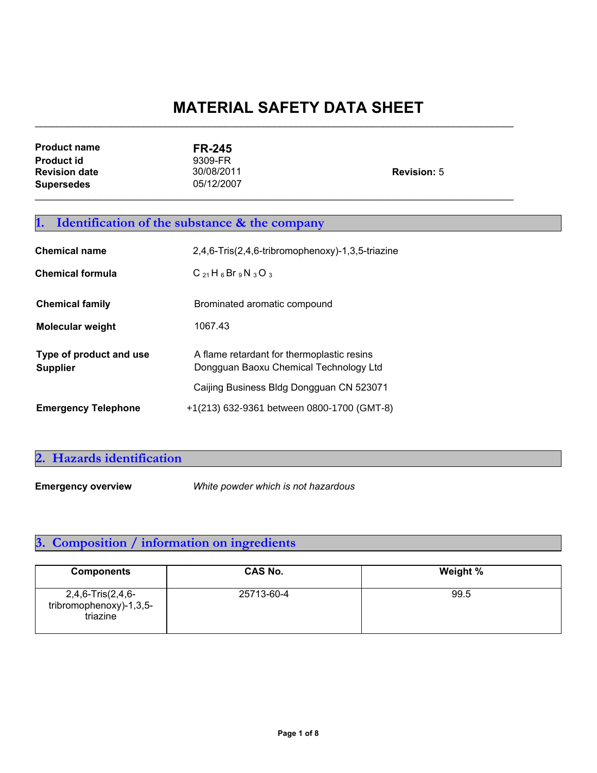| <b>Product name</b>  | <b>FR-245</b> |                    |
|----------------------|---------------|--------------------|
| <b>Product id</b>    | 9309-FR       |                    |
| <b>Revision date</b> | 30/08/2011    | <b>Revision: 5</b> |
| <b>Supersedes</b>    | 05/12/2007    |                    |
|                      |               |                    |

 $\mathcal{L}_\text{max}$  , and the contribution of the contribution of the contribution of the contribution of the contribution of the contribution of the contribution of the contribution of the contribution of the contribution of t

## **1. Identification of the substance & the company**

| <b>Chemical name</b>                       | 2,4,6-Tris(2,4,6-tribromophenoxy)-1,3,5-triazine                                     |  |
|--------------------------------------------|--------------------------------------------------------------------------------------|--|
| <b>Chemical formula</b>                    | $C_{21}H_6Br_9N_3O_3$                                                                |  |
| <b>Chemical family</b>                     | Brominated aromatic compound                                                         |  |
| <b>Molecular weight</b>                    | 1067.43                                                                              |  |
| Type of product and use<br><b>Supplier</b> | A flame retardant for thermoplastic resins<br>Dongguan Baoxu Chemical Technology Ltd |  |
|                                            | Caijing Business Bldg Dongguan CN 523071                                             |  |
| <b>Emergency Telephone</b>                 | +1(213) 632-9361 between 0800-1700 (GMT-8)                                           |  |

### **2. Hazards identification**

**Emergency overview** *White powder which is not hazardous*

## **3. Composition / information on ingredients**

| <b>Components</b>                                        | <b>CAS No.</b> | Weight % |
|----------------------------------------------------------|----------------|----------|
| 2,4,6-Tris(2,4,6-<br>tribromophenoxy)-1,3,5-<br>triazine | 25713-60-4     | 99.5     |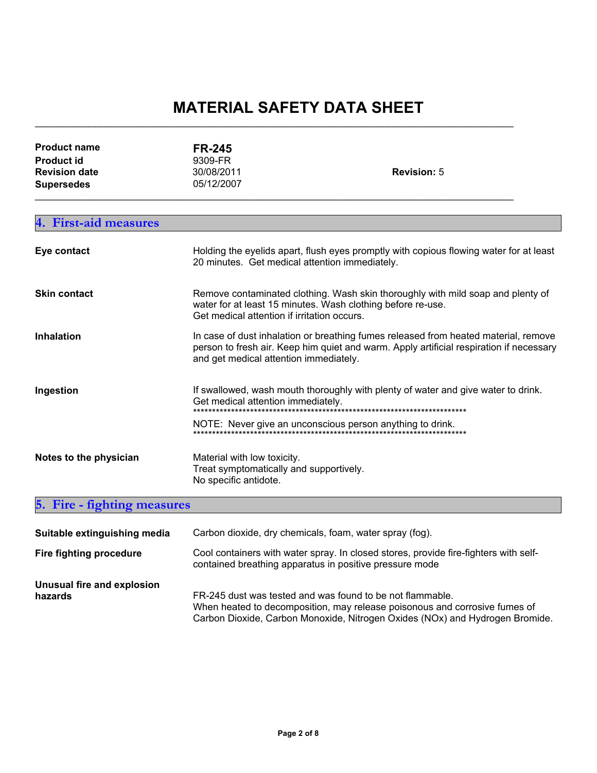$\mathcal{L}_\text{max}$  , and the contribution of the contribution of the contribution of the contribution of the contribution of the contribution of the contribution of the contribution of the contribution of the contribution of t

| <b>Product name</b><br><b>Product id</b><br><b>Revision date</b><br><b>Supersedes</b> | <b>FR-245</b><br>9309-FR<br>30/08/2011<br>05/12/2007 | <b>Revision: 5</b>                                                                                                                                                                            |  |
|---------------------------------------------------------------------------------------|------------------------------------------------------|-----------------------------------------------------------------------------------------------------------------------------------------------------------------------------------------------|--|
| <b>First-aid measures</b><br>4.                                                       |                                                      |                                                                                                                                                                                               |  |
| Eye contact                                                                           | 20 minutes. Get medical attention immediately.       | Holding the eyelids apart, flush eyes promptly with copious flowing water for at least                                                                                                        |  |
| <b>Skin contact</b>                                                                   |                                                      | Remove contaminated clothing. Wash skin thoroughly with mild soap and plenty of<br>water for at least 15 minutes. Wash clothing before re-use.<br>Get medical attention if irritation occurs. |  |
| <b>Inhalation</b>                                                                     | and get medical attention immediately.               | In case of dust inhalation or breathing fumes released from heated material, remove<br>person to fresh air. Keep him quiet and warm. Apply artificial respiration if necessary                |  |
| Ingestion                                                                             | Get medical attention immediately.                   | If swallowed, wash mouth thoroughly with plenty of water and give water to drink.<br>*********************************                                                                        |  |
|                                                                                       |                                                      | NOTE: Never give an unconscious person anything to drink.                                                                                                                                     |  |
| Notes to the physician                                                                | Material with low toxicity.<br>No specific antidote. | Treat symptomatically and supportively.                                                                                                                                                       |  |
| Fire - fighting measures                                                              |                                                      |                                                                                                                                                                                               |  |

| Suitable extinguishing media          | Carbon dioxide, dry chemicals, foam, water spray (fog).                                                                                                                                                                 |  |
|---------------------------------------|-------------------------------------------------------------------------------------------------------------------------------------------------------------------------------------------------------------------------|--|
| Fire fighting procedure               | Cool containers with water spray. In closed stores, provide fire-fighters with self-<br>contained breathing apparatus in positive pressure mode                                                                         |  |
| Unusual fire and explosion<br>hazards | FR-245 dust was tested and was found to be not flammable.<br>When heated to decomposition, may release poisonous and corrosive fumes of<br>Carbon Dioxide, Carbon Monoxide, Nitrogen Oxides (NOx) and Hydrogen Bromide. |  |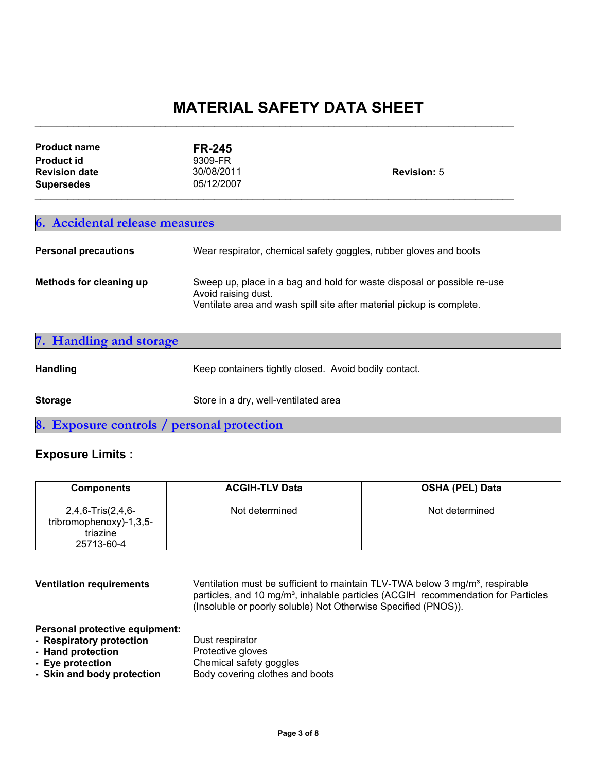$\mathcal{L}_\text{max}$  , and the contribution of the contribution of the contribution of the contribution of the contribution of the contribution of the contribution of the contribution of the contribution of the contribution of t

| <b>Product name</b><br><b>Product id</b><br><b>Revision date</b><br><b>Supersedes</b> | <b>FR-245</b><br>9309-FR<br>30/08/2011<br>05/12/2007                                                                                                                                                                                         | <b>Revision: 5</b> |  |
|---------------------------------------------------------------------------------------|----------------------------------------------------------------------------------------------------------------------------------------------------------------------------------------------------------------------------------------------|--------------------|--|
| 6. Accidental release measures<br><b>Personal precautions</b>                         |                                                                                                                                                                                                                                              |                    |  |
| Methods for cleaning up                                                               | Wear respirator, chemical safety goggles, rubber gloves and boots<br>Sweep up, place in a bag and hold for waste disposal or possible re-use<br>Avoid raising dust.<br>Ventilate area and wash spill site after material pickup is complete. |                    |  |

| 7. Handling and storage                    |                                                       |
|--------------------------------------------|-------------------------------------------------------|
| <b>Handling</b>                            | Keep containers tightly closed. Avoid bodily contact. |
| <b>Storage</b>                             | Store in a dry, well-ventilated area                  |
| 8. Exposure controls / personal protection |                                                       |

### **Exposure Limits :**

| <b>Components</b>                                                      | <b>ACGIH-TLV Data</b> | <b>OSHA (PEL) Data</b> |
|------------------------------------------------------------------------|-----------------------|------------------------|
| 2,4,6-Tris(2,4,6-<br>tribromophenoxy)-1,3,5-<br>triazine<br>25713-60-4 | Not determined        | Not determined         |

**Ventilation requirements** Ventilation must be sufficient to maintain TLV-TWA below 3 mg/m<sup>3</sup>, respirable particles, and 10 mg/m<sup>3</sup>, inhalable particles (ACGIH recommendation for Particles (Insoluble or poorly soluble) Not Otherwise Specified (PNOS)). **Personal protective equipment:**

**- Respiratory protection**<br>**- Hand protection**<br>Protective gloves - Hand protection **- Eye protection** Chemical safety goggles - Skin and body protection Body covering clothes and boots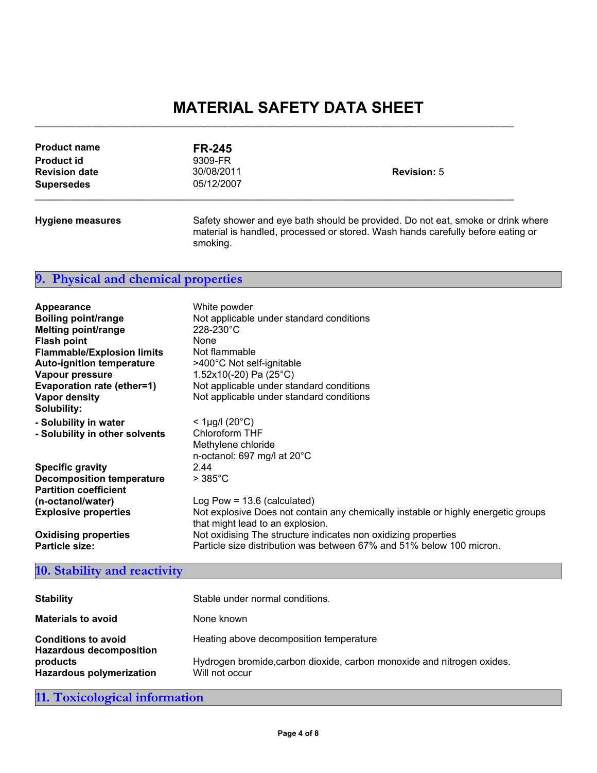$\mathcal{L}_\text{max}$  , and the contribution of the contribution of the contribution of the contribution of the contribution of the contribution of the contribution of the contribution of the contribution of the contribution of t

| <b>Product name</b><br><b>Product id</b><br><b>Revision date</b><br><b>Supersedes</b> | <b>FR-245</b><br>9309-FR<br>30/08/2011<br>05/12/2007 | <b>Revision: 5</b>                                                                                                                                                 |
|---------------------------------------------------------------------------------------|------------------------------------------------------|--------------------------------------------------------------------------------------------------------------------------------------------------------------------|
| <b>Hygiene measures</b>                                                               | smoking.                                             | Safety shower and eye bath should be provided. Do not eat, smoke or drink where<br>material is handled, processed or stored. Wash hands carefully before eating or |

### **9. Physical and chemical properties**

| Appearance<br><b>Boiling point/range</b><br><b>Melting point/range</b><br><b>Flash point</b><br><b>Flammable/Explosion limits</b><br><b>Auto-ignition temperature</b><br>Vapour pressure<br>Evaporation rate (ether=1)<br>Vapor density<br><b>Solubility:</b> | White powder<br>Not applicable under standard conditions<br>$228 - 230^{\circ}$ C<br>None<br>Not flammable<br>>400°C Not self-ignitable<br>1.52x10(-20) Pa $(25^{\circ}C)$<br>Not applicable under standard conditions<br>Not applicable under standard conditions |
|---------------------------------------------------------------------------------------------------------------------------------------------------------------------------------------------------------------------------------------------------------------|--------------------------------------------------------------------------------------------------------------------------------------------------------------------------------------------------------------------------------------------------------------------|
| - Solubility in water<br>- Solubility in other solvents                                                                                                                                                                                                       | $<$ 1µg/l (20 $^{\circ}$ C)<br>Chloroform THF<br>Methylene chloride<br>n-octanol: 697 mg/l at $20^{\circ}$ C                                                                                                                                                       |
| <b>Specific gravity</b>                                                                                                                                                                                                                                       | 2.44                                                                                                                                                                                                                                                               |
| <b>Decomposition temperature</b>                                                                                                                                                                                                                              | $>385^{\circ}$ C                                                                                                                                                                                                                                                   |
| <b>Partition coefficient</b>                                                                                                                                                                                                                                  |                                                                                                                                                                                                                                                                    |
| (n-octanol/water)                                                                                                                                                                                                                                             | Log Pow = $13.6$ (calculated)                                                                                                                                                                                                                                      |
| <b>Explosive properties</b>                                                                                                                                                                                                                                   | Not explosive Does not contain any chemically instable or highly energetic groups<br>that might lead to an explosion.                                                                                                                                              |
| <b>Oxidising properties</b>                                                                                                                                                                                                                                   | Not oxidising The structure indicates non oxidizing properties                                                                                                                                                                                                     |
| <b>Particle size:</b>                                                                                                                                                                                                                                         | Particle size distribution was between 67% and 51% below 100 micron.                                                                                                                                                                                               |

### **10. Stability and reactivity**

| <b>Stability</b>                                             | Stable under normal conditions.                                                          |
|--------------------------------------------------------------|------------------------------------------------------------------------------------------|
| <b>Materials to avoid</b>                                    | None known                                                                               |
| <b>Conditions to avoid</b><br><b>Hazardous decomposition</b> | Heating above decomposition temperature                                                  |
| products<br><b>Hazardous polymerization</b>                  | Hydrogen bromide, carbon dioxide, carbon monoxide and nitrogen oxides.<br>Will not occur |

**11. Toxicological information**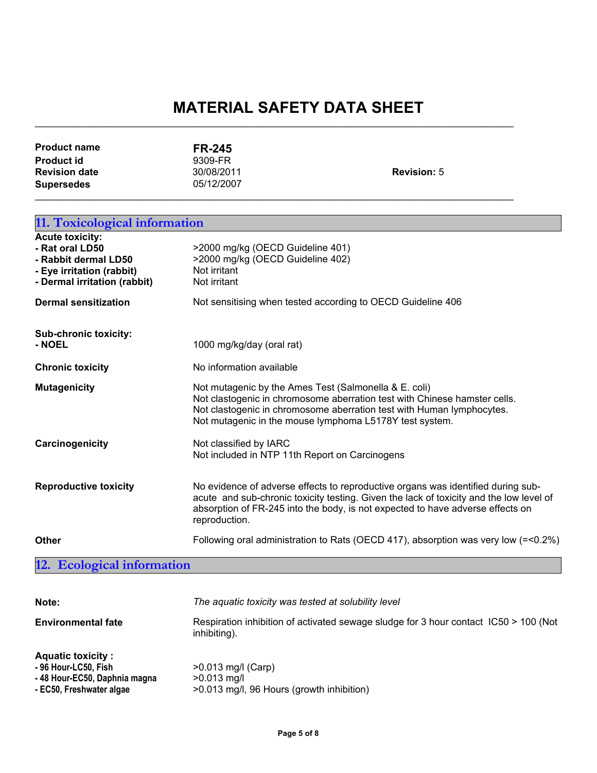| <b>Product name</b>  | <b>FR-245</b> |                    |
|----------------------|---------------|--------------------|
| <b>Product id</b>    | 9309-FR       |                    |
| <b>Revision date</b> | 30/08/2011    | <b>Revision: 5</b> |
| <b>Supersedes</b>    | 05/12/2007    |                    |
|                      |               |                    |

 $\mathcal{L}_\text{max}$  , and the contribution of the contribution of the contribution of the contribution of the contribution of the contribution of the contribution of the contribution of the contribution of the contribution of t

| 11. Toxicological information                                                                                                  |                                                                                                                                                                                                                                                                                |  |
|--------------------------------------------------------------------------------------------------------------------------------|--------------------------------------------------------------------------------------------------------------------------------------------------------------------------------------------------------------------------------------------------------------------------------|--|
| <b>Acute toxicity:</b><br>- Rat oral LD50<br>- Rabbit dermal LD50<br>- Eye irritation (rabbit)<br>- Dermal irritation (rabbit) | >2000 mg/kg (OECD Guideline 401)<br>>2000 mg/kg (OECD Guideline 402)<br>Not irritant<br>Not irritant                                                                                                                                                                           |  |
| <b>Dermal sensitization</b>                                                                                                    | Not sensitising when tested according to OECD Guideline 406                                                                                                                                                                                                                    |  |
| Sub-chronic toxicity:<br>- NOEL                                                                                                | 1000 mg/kg/day (oral rat)                                                                                                                                                                                                                                                      |  |
| <b>Chronic toxicity</b>                                                                                                        | No information available                                                                                                                                                                                                                                                       |  |
| <b>Mutagenicity</b>                                                                                                            | Not mutagenic by the Ames Test (Salmonella & E. coli)<br>Not clastogenic in chromosome aberration test with Chinese hamster cells.<br>Not clastogenic in chromosome aberration test with Human lymphocytes.<br>Not mutagenic in the mouse lymphoma L5178Y test system.         |  |
| Carcinogenicity                                                                                                                | Not classified by IARC<br>Not included in NTP 11th Report on Carcinogens                                                                                                                                                                                                       |  |
| <b>Reproductive toxicity</b>                                                                                                   | No evidence of adverse effects to reproductive organs was identified during sub-<br>acute and sub-chronic toxicity testing. Given the lack of toxicity and the low level of<br>absorption of FR-245 into the body, is not expected to have adverse effects on<br>reproduction. |  |
| <b>Other</b>                                                                                                                   | Following oral administration to Rats (OECD 417), absorption was very low (=<0.2%)                                                                                                                                                                                             |  |
| 12. Ecological information                                                                                                     |                                                                                                                                                                                                                                                                                |  |

| Note:                                                                                                        | The aquatic toxicity was tested at solubility level                                                  |
|--------------------------------------------------------------------------------------------------------------|------------------------------------------------------------------------------------------------------|
| <b>Environmental fate</b>                                                                                    | Respiration inhibition of activated sewage sludge for 3 hour contact IC50 > 100 (Not<br>inhibiting). |
| <b>Aquatic toxicity:</b><br>- 96 Hour-LC50, Fish<br>-48 Hour-EC50, Daphnia magna<br>- EC50, Freshwater algae | $>0.013$ mg/l (Carp)<br>$>0.013$ mg/l<br>>0.013 mg/l, 96 Hours (growth inhibition)                   |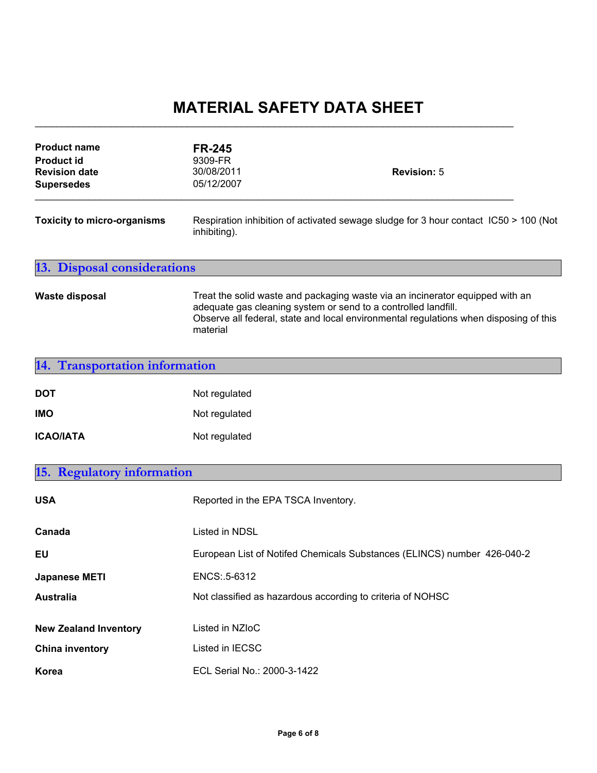$\mathcal{L}_\text{max}$  , and the contribution of the contribution of the contribution of the contribution of the contribution of the contribution of the contribution of the contribution of the contribution of the contribution of t

| <b>Product name</b><br><b>Product id</b><br><b>Revision date</b><br><b>Supersedes</b> | <b>FR-245</b><br>9309-FR<br>30/08/2011<br>05/12/2007                                                                                                                                                                                                 | <b>Revision: 5</b> |  |
|---------------------------------------------------------------------------------------|------------------------------------------------------------------------------------------------------------------------------------------------------------------------------------------------------------------------------------------------------|--------------------|--|
| <b>Toxicity to micro-organisms</b>                                                    | Respiration inhibition of activated sewage sludge for 3 hour contact IC50 > 100 (Not<br>inhibiting).                                                                                                                                                 |                    |  |
| <b>13. Disposal considerations</b>                                                    |                                                                                                                                                                                                                                                      |                    |  |
| <b>Waste disposal</b>                                                                 | Treat the solid waste and packaging waste via an incinerator equipped with an<br>adequate gas cleaning system or send to a controlled landfill.<br>Observe all federal, state and local environmental regulations when disposing of this<br>material |                    |  |
| <b>Transportation information</b><br>14.                                              |                                                                                                                                                                                                                                                      |                    |  |
| <b>DOT</b>                                                                            | Not regulated                                                                                                                                                                                                                                        |                    |  |
| <b>IMO</b>                                                                            | Not regulated                                                                                                                                                                                                                                        |                    |  |
| <b>ICAO/IATA</b>                                                                      | Not regulated                                                                                                                                                                                                                                        |                    |  |
| 15. Regulatory information                                                            |                                                                                                                                                                                                                                                      |                    |  |
| <b>USA</b>                                                                            | Reported in the EPA TSCA Inventory.                                                                                                                                                                                                                  |                    |  |
| Canada                                                                                | Listed in NDSL                                                                                                                                                                                                                                       |                    |  |
| <b>EU</b>                                                                             | European List of Notifed Chemicals Substances (ELINCS) number 426-040-2                                                                                                                                                                              |                    |  |
| <b>Japanese METI</b>                                                                  | ENCS: .5-6312                                                                                                                                                                                                                                        |                    |  |
| <b>Australia</b>                                                                      | Not classified as hazardous according to criteria of NOHSC                                                                                                                                                                                           |                    |  |
| <b>New Zealand Inventory</b>                                                          | Listed in NZIoC                                                                                                                                                                                                                                      |                    |  |
| <b>China inventory</b>                                                                | Listed in IECSC                                                                                                                                                                                                                                      |                    |  |
| Korea                                                                                 | ECL Serial No.: 2000-3-1422                                                                                                                                                                                                                          |                    |  |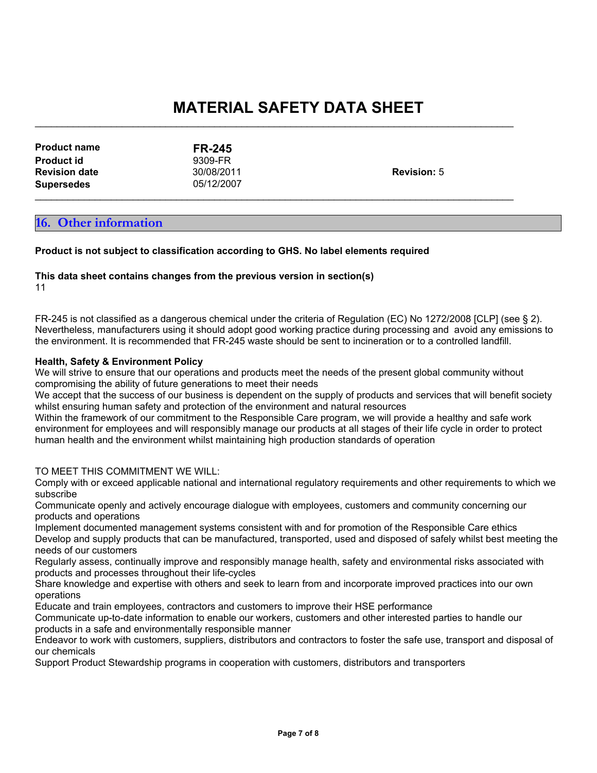$\mathcal{L}_\text{max}$  , and the contribution of the contribution of the contribution of the contribution of the contribution of the contribution of the contribution of the contribution of the contribution of the contribution of t

 $\mathcal{L}_\text{max}$  , and the contribution of the contribution of the contribution of the contribution of the contribution of the contribution of the contribution of the contribution of the contribution of the contribution of t

| <b>Product name</b>  | <b>FR-245</b> |                    |
|----------------------|---------------|--------------------|
| <b>Product id</b>    | 9309-FR       |                    |
| <b>Revision date</b> | 30/08/2011    | <b>Revision: 5</b> |
| <b>Supersedes</b>    | 05/12/2007    |                    |

### **16. Other information**

**Product is not subject to classification according to GHS. No label elements required**

#### **This data sheet contains changes from the previous version in section(s)**

11

FR-245 is not classified as a dangerous chemical under the criteria of Regulation (EC) No 1272/2008 [CLP] (see § 2). Nevertheless, manufacturers using it should adopt good working practice during processing and avoid any emissions to the environment. It is recommended that FR-245 waste should be sent to incineration or to a controlled landfill.

#### **Health, Safety & Environment Policy**

We will strive to ensure that our operations and products meet the needs of the present global community without compromising the ability of future generations to meet their needs

We accept that the success of our business is dependent on the supply of products and services that will benefit society whilst ensuring human safety and protection of the environment and natural resources

Within the framework of our commitment to the Responsible Care program, we will provide a healthy and safe work environment for employees and will responsibly manage our products at all stages of their life cycle in order to protect human health and the environment whilst maintaining high production standards of operation

#### TO MEET THIS COMMITMENT WE WILL:

Comply with or exceed applicable national and international regulatory requirements and other requirements to which we subscribe

Communicate openly and actively encourage dialogue with employees, customers and community concerning our products and operations

Implement documented management systems consistent with and for promotion of the Responsible Care ethics Develop and supply products that can be manufactured, transported, used and disposed of safely whilst best meeting the needs of our customers

Regularly assess, continually improve and responsibly manage health, safety and environmental risks associated with products and processes throughout their life-cycles

Share knowledge and expertise with others and seek to learn from and incorporate improved practices into our own operations

Educate and train employees, contractors and customers to improve their HSE performance

Communicate up-to-date information to enable our workers, customers and other interested parties to handle our products in a safe and environmentally responsible manner

Endeavor to work with customers, suppliers, distributors and contractors to foster the safe use, transport and disposal of our chemicals

Support Product Stewardship programs in cooperation with customers, distributors and transporters